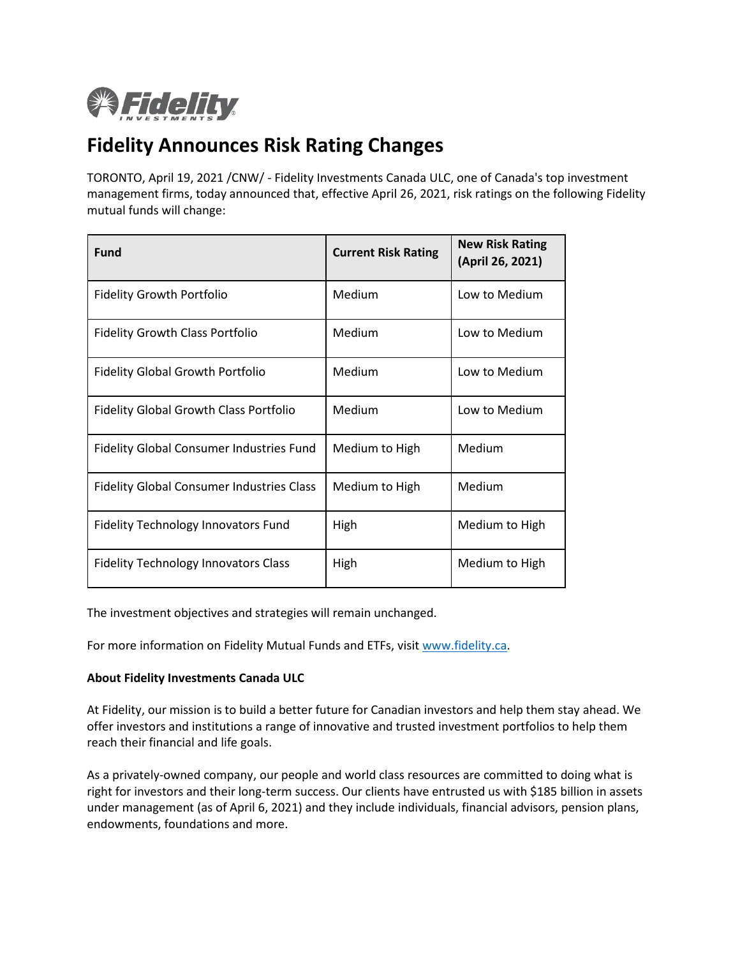

## **Fidelity Announces Risk Rating Changes**

TORONTO, April 19, 2021 /CNW/ - Fidelity Investments Canada ULC, one of Canada's top investment management firms, today announced that, effective April 26, 2021, risk ratings on the following Fidelity mutual funds will change:

| <b>Fund</b>                                      | <b>Current Risk Rating</b> | <b>New Risk Rating</b><br>(April 26, 2021) |
|--------------------------------------------------|----------------------------|--------------------------------------------|
| <b>Fidelity Growth Portfolio</b>                 | Medium                     | Low to Medium                              |
| <b>Fidelity Growth Class Portfolio</b>           | Medium                     | Low to Medium                              |
| <b>Fidelity Global Growth Portfolio</b>          | Medium                     | Low to Medium                              |
| <b>Fidelity Global Growth Class Portfolio</b>    | Medium                     | Low to Medium                              |
| <b>Fidelity Global Consumer Industries Fund</b>  | Medium to High             | Medium                                     |
| <b>Fidelity Global Consumer Industries Class</b> | Medium to High             | Medium                                     |
| Fidelity Technology Innovators Fund              | High                       | Medium to High                             |
| <b>Fidelity Technology Innovators Class</b>      | High                       | Medium to High                             |

The investment objectives and strategies will remain unchanged.

For more information on Fidelity Mutual Funds and ETFs, visit [www.fidelity.ca.](http://www.fidelity.ca/)

## **About Fidelity Investments Canada ULC**

At Fidelity, our mission is to build a better future for Canadian investors and help them stay ahead. We offer investors and institutions a range of innovative and trusted investment portfolios to help them reach their financial and life goals.

As a privately-owned company, our people and world class resources are committed to doing what is right for investors and their long-term success. Our clients have entrusted us with \$185 billion in assets under management (as of April 6, 2021) and they include individuals, financial advisors, pension plans, endowments, foundations and more.